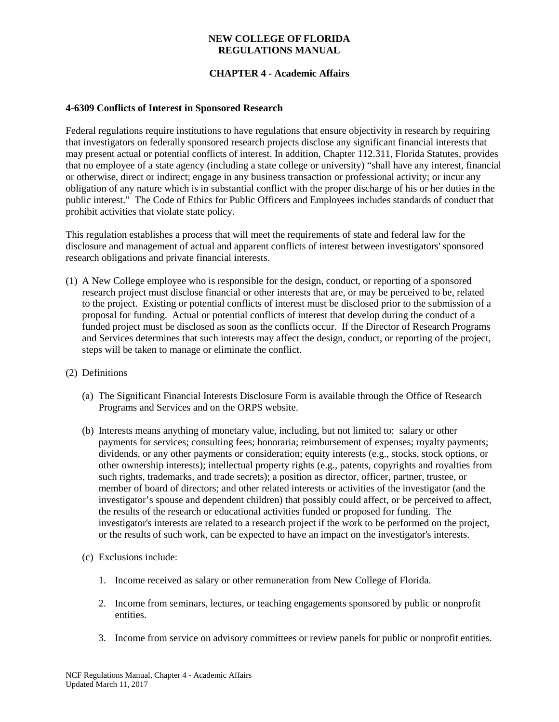#### **NEW COLLEGE OF FLORIDA REGULATIONS MANUAL**

## **CHAPTER 4 - Academic Affairs**

### **4-6309 Conflicts of Interest in Sponsored Research**

Federal regulations require institutions to have regulations that ensure objectivity in research by requiring that investigators on federally sponsored research projects disclose any significant financial interests that may present actual or potential conflicts of interest. In addition, Chapter 112.311, Florida Statutes, provides that no employee of a state agency (including a state college or university) "shall have any interest, financial or otherwise, direct or indirect; engage in any business transaction or professional activity; or incur any obligation of any nature which is in substantial conflict with the proper discharge of his or her duties in the public interest." The Code of Ethics for Public Officers and Employees includes standards of conduct that prohibit activities that violate state policy.

This regulation establishes a process that will meet the requirements of state and federal law for the disclosure and management of actual and apparent conflicts of interest between investigators' sponsored research obligations and private financial interests.

- (1) A New College employee who is responsible for the design, conduct, or reporting of a sponsored research project must disclose financial or other interests that are, or may be perceived to be, related to the project. Existing or potential conflicts of interest must be disclosed prior to the submission of a proposal for funding. Actual or potential conflicts of interest that develop during the conduct of a funded project must be disclosed as soon as the conflicts occur. If the Director of Research Programs and Services determines that such interests may affect the design, conduct, or reporting of the project, steps will be taken to manage or eliminate the conflict.
- (2) Definitions
	- (a) The Significant Financial Interests Disclosure Form is available through the Office of Research Programs and Services and on the ORPS website.
	- (b) Interests means anything of monetary value, including, but not limited to: salary or other payments for services; consulting fees; honoraria; reimbursement of expenses; royalty payments; dividends, or any other payments or consideration; equity interests (e.g., stocks, stock options, or other ownership interests); intellectual property rights (e.g., patents, copyrights and royalties from such rights, trademarks, and trade secrets); a position as director, officer, partner, trustee, or member of board of directors; and other related interests or activities of the investigator (and the investigator's spouse and dependent children) that possibly could affect, or be perceived to affect, the results of the research or educational activities funded or proposed for funding. The investigator's interests are related to a research project if the work to be performed on the project, or the results of such work, can be expected to have an impact on the investigator's interests.
	- (c) Exclusions include:
		- 1. Income received as salary or other remuneration from New College of Florida.
		- 2. Income from seminars, lectures, or teaching engagements sponsored by public or nonprofit entities.
		- 3. Income from service on advisory committees or review panels for public or nonprofit entities.